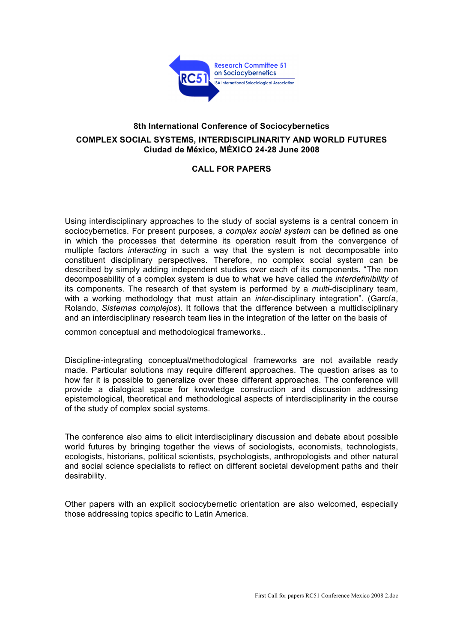

# **8th International Conference of Sociocybernetics COMPLEX SOCIAL SYSTEMS, INTERDISCIPLINARITY AND WORLD FUTURES Ciudad de México, MÉXICO 24-28 June 2008**

## **CALL FOR PAPERS**

Using interdisciplinary approaches to the study of social systems is a central concern in sociocybernetics. For present purposes, a *complex social system* can be defined as one in which the processes that determine its operation result from the convergence of multiple factors *interacting* in such a way that the system is not decomposable into constituent disciplinary perspectives. Therefore, no complex social system can be described by simply adding independent studies over each of its components. "The non decomposability of a complex system is due to what we have called the *interdefinibility* of its components. The research of that system is performed by a *multi*-disciplinary team, with a working methodology that must attain an *inter*-disciplinary integration". (García, Rolando, *Sistemas complejos*). It follows that the difference between a multidisciplinary and an interdisciplinary research team lies in the integration of the latter on the basis of

common conceptual and methodological frameworks..

Discipline-integrating conceptual/methodological frameworks are not available ready made. Particular solutions may require different approaches. The question arises as to how far it is possible to generalize over these different approaches. The conference will provide a dialogical space for knowledge construction and discussion addressing epistemological, theoretical and methodological aspects of interdisciplinarity in the course of the study of complex social systems.

The conference also aims to elicit interdisciplinary discussion and debate about possible world futures by bringing together the views of sociologists, economists, technologists, ecologists, historians, political scientists, psychologists, anthropologists and other natural and social science specialists to reflect on different societal development paths and their desirability.

Other papers with an explicit sociocybernetic orientation are also welcomed, especially those addressing topics specific to Latin America.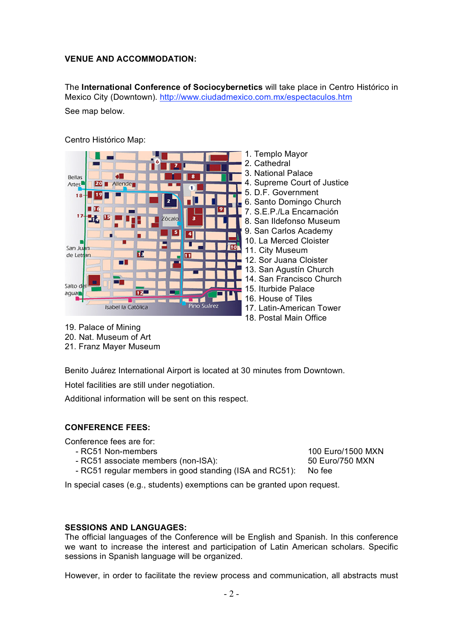## **VENUE AND ACCOMMODATION:**

The **International Conference of Sociocybernetics** will take place in Centro Histórico in Mexico City (Downtown). http://www.ciudadmexico.com.mx/espectaculos.htm See map below.



Centro Histórico Map:

- 19. Palace of Mining
- 20. Nat. Museum of Art
- 21. Franz Mayer Museum

Benito Juárez International Airport is located at 30 minutes from Downtown.

Hotel facilities are still under negotiation.

Additional information will be sent on this respect.

### **CONFERENCE FEES:**

Conference fees are for:

- RC51 Non-members 100 Euro/1500 MXN
- RC51 associate members (non-ISA): 50 Euro/750 MXN
- RC51 regular members in good standing (ISA and RC51): No fee

In special cases (e.g., students) exemptions can be granted upon request.

#### **SESSIONS AND LANGUAGES:**

The official languages of the Conference will be English and Spanish. In this conference we want to increase the interest and participation of Latin American scholars. Specific sessions in Spanish language will be organized.

However, in order to facilitate the review process and communication, all abstracts must